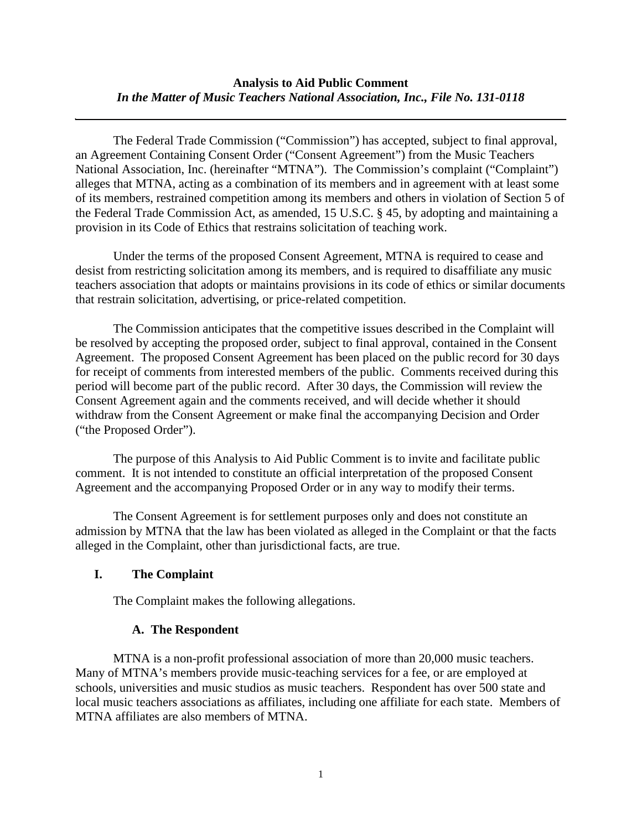The Federal Trade Commission ("Commission") has accepted, subject to final approval, an Agreement Containing Consent Order ("Consent Agreement") from the Music Teachers National Association, Inc. (hereinafter "MTNA"). The Commission's complaint ("Complaint") alleges that MTNA, acting as a combination of its members and in agreement with at least some of its members, restrained competition among its members and others in violation of Section 5 of the Federal Trade Commission Act, as amended, 15 U.S.C. § 45, by adopting and maintaining a provision in its Code of Ethics that restrains solicitation of teaching work.

Under the terms of the proposed Consent Agreement, MTNA is required to cease and desist from restricting solicitation among its members, and is required to disaffiliate any music teachers association that adopts or maintains provisions in its code of ethics or similar documents that restrain solicitation, advertising, or price-related competition.

The Commission anticipates that the competitive issues described in the Complaint will be resolved by accepting the proposed order, subject to final approval, contained in the Consent Agreement. The proposed Consent Agreement has been placed on the public record for 30 days for receipt of comments from interested members of the public. Comments received during this period will become part of the public record. After 30 days, the Commission will review the Consent Agreement again and the comments received, and will decide whether it should withdraw from the Consent Agreement or make final the accompanying Decision and Order ("the Proposed Order").

The purpose of this Analysis to Aid Public Comment is to invite and facilitate public comment. It is not intended to constitute an official interpretation of the proposed Consent Agreement and the accompanying Proposed Order or in any way to modify their terms.

The Consent Agreement is for settlement purposes only and does not constitute an admission by MTNA that the law has been violated as alleged in the Complaint or that the facts alleged in the Complaint, other than jurisdictional facts, are true.

## **I. The Complaint**

The Complaint makes the following allegations.

## **A. The Respondent**

MTNA is a non-profit professional association of more than 20,000 music teachers. Many of MTNA's members provide music-teaching services for a fee, or are employed at schools, universities and music studios as music teachers. Respondent has over 500 state and local music teachers associations as affiliates, including one affiliate for each state. Members of MTNA affiliates are also members of MTNA.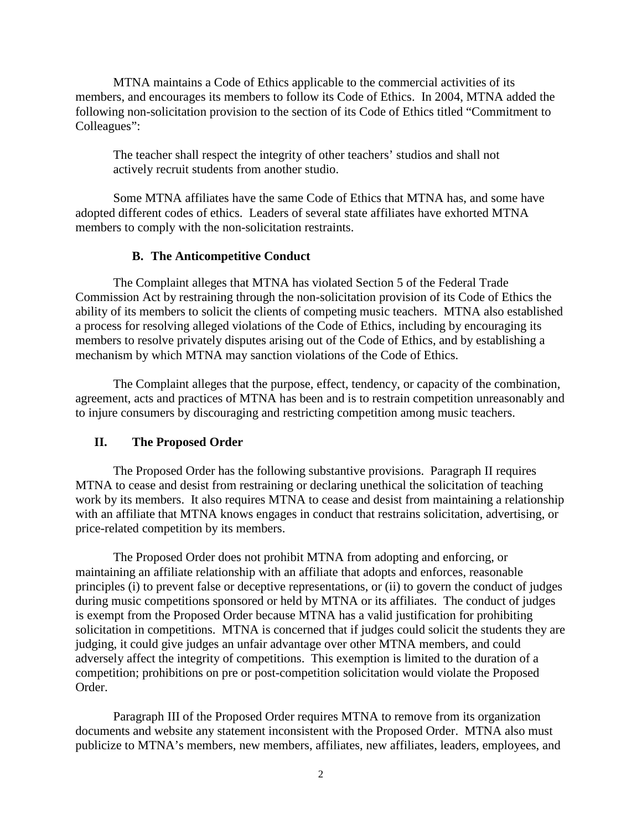MTNA maintains a Code of Ethics applicable to the commercial activities of its members, and encourages its members to follow its Code of Ethics. In 2004, MTNA added the following non-solicitation provision to the section of its Code of Ethics titled "Commitment to Colleagues":

The teacher shall respect the integrity of other teachers' studios and shall not actively recruit students from another studio.

Some MTNA affiliates have the same Code of Ethics that MTNA has, and some have adopted different codes of ethics. Leaders of several state affiliates have exhorted MTNA members to comply with the non-solicitation restraints.

## **B. The Anticompetitive Conduct**

The Complaint alleges that MTNA has violated Section 5 of the Federal Trade Commission Act by restraining through the non-solicitation provision of its Code of Ethics the ability of its members to solicit the clients of competing music teachers. MTNA also established a process for resolving alleged violations of the Code of Ethics, including by encouraging its members to resolve privately disputes arising out of the Code of Ethics, and by establishing a mechanism by which MTNA may sanction violations of the Code of Ethics.

The Complaint alleges that the purpose, effect, tendency, or capacity of the combination, agreement, acts and practices of MTNA has been and is to restrain competition unreasonably and to injure consumers by discouraging and restricting competition among music teachers.

## **II. The Proposed Order**

The Proposed Order has the following substantive provisions. Paragraph II requires MTNA to cease and desist from restraining or declaring unethical the solicitation of teaching work by its members. It also requires MTNA to cease and desist from maintaining a relationship with an affiliate that MTNA knows engages in conduct that restrains solicitation, advertising, or price-related competition by its members.

The Proposed Order does not prohibit MTNA from adopting and enforcing, or maintaining an affiliate relationship with an affiliate that adopts and enforces, reasonable principles (i) to prevent false or deceptive representations, or (ii) to govern the conduct of judges during music competitions sponsored or held by MTNA or its affiliates. The conduct of judges is exempt from the Proposed Order because MTNA has a valid justification for prohibiting solicitation in competitions. MTNA is concerned that if judges could solicit the students they are judging, it could give judges an unfair advantage over other MTNA members, and could adversely affect the integrity of competitions. This exemption is limited to the duration of a competition; prohibitions on pre or post-competition solicitation would violate the Proposed Order.

Paragraph III of the Proposed Order requires MTNA to remove from its organization documents and website any statement inconsistent with the Proposed Order. MTNA also must publicize to MTNA's members, new members, affiliates, new affiliates, leaders, employees, and